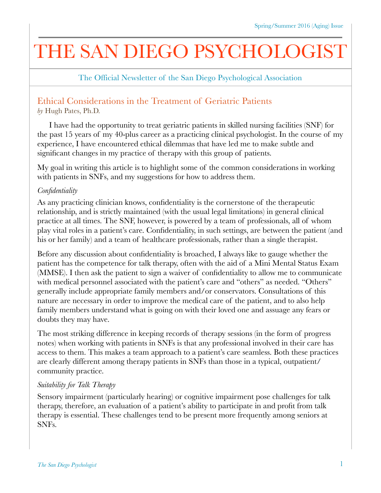# THE SAN DIEGO PSYCHOLOGIST

The Official Newsletter of the San Diego Psychological Association

## Ethical Considerations in the Treatment of Geriatric Patients

*by* Hugh Pates, Ph.D.

I have had the opportunity to treat geriatric patients in skilled nursing facilities (SNF) for the past 15 years of my 40-plus career as a practicing clinical psychologist. In the course of my experience, I have encountered ethical dilemmas that have led me to make subtle and significant changes in my practice of therapy with this group of patients.

My goal in writing this article is to highlight some of the common considerations in working with patients in SNFs, and my suggestions for how to address them.

### *Confidentiality*

As any practicing clinician knows, confidentiality is the cornerstone of the therapeutic relationship, and is strictly maintained (with the usual legal limitations) in general clinical practice at all times. The SNF, however, is powered by a team of professionals, all of whom play vital roles in a patient's care. Confidentiality, in such settings, are between the patient (and his or her family) and a team of healthcare professionals, rather than a single therapist.

Before any discussion about confidentiality is broached, I always like to gauge whether the patient has the competence for talk therapy, often with the aid of a Mini Mental Status Exam (MMSE). I then ask the patient to sign a waiver of confidentiality to allow me to communicate with medical personnel associated with the patient's care and "others" as needed. "Others" generally include appropriate family members and/or conservators. Consultations of this nature are necessary in order to improve the medical care of the patient, and to also help family members understand what is going on with their loved one and assuage any fears or doubts they may have.

The most striking difference in keeping records of therapy sessions (in the form of progress notes) when working with patients in SNFs is that any professional involved in their care has access to them. This makes a team approach to a patient's care seamless. Both these practices are clearly different among therapy patients in SNFs than those in a typical, outpatient/ community practice.

#### *Suitability for Talk Therapy*

Sensory impairment (particularly hearing) or cognitive impairment pose challenges for talk therapy, therefore, an evaluation of a patient's ability to participate in and profit from talk therapy is essential. These challenges tend to be present more frequently among seniors at SNFs.